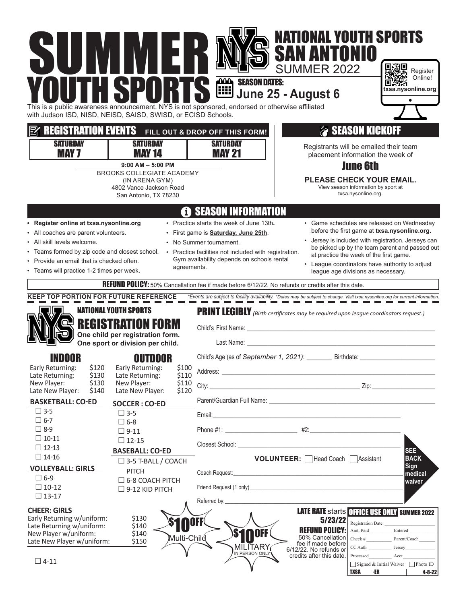| MI<br>SIII<br>This is a public awareness announcement. NYS is not sponsored, endorsed or otherwise affiliated<br>with Judson ISD, NISD, NEISD, SAISD, SWISD, or ECISD Schools.<br><b>REGISTRATION EVENTS</b><br><b>SATURDAY</b><br><b>MAY 7</b> | H<br>WH<br>HSPORT<br><b>SATURDAY</b><br><b>MAY 14</b><br>$9:00$ AM $-5:00$ PM<br><b>BROOKS COLLEGIATE ACADEMY</b><br>(IN ARENA GYM)<br>4802 Vance Jackson Road<br>San Antonio, TX 78230 |                                  | <b>SEASON DATES:</b><br>SEASON DATES:<br>June 25 - August 6<br>FILL OUT & DROP OFF THIS FORM!<br><b>SATURDAY</b><br><b>MAY 21</b>                                                                                                                                                                                                                                                                                         | <b>NATIONAL YOUTH SPORTS</b><br><b>SAN ANTONIO</b><br><b>SUMMER 2022</b><br>Registrants will be emailed their team<br>placement information the week of<br><b>PLEASE CHECK YOUR EMAIL.</b> | <b>SEASON KICKOFF</b><br><b>June 6th</b><br>View season information by sport at<br>txsa.nysonline.org. | Register<br>Online!<br>txsa.nysonline.org                                                                                                                                                                                                             |
|-------------------------------------------------------------------------------------------------------------------------------------------------------------------------------------------------------------------------------------------------|-----------------------------------------------------------------------------------------------------------------------------------------------------------------------------------------|----------------------------------|---------------------------------------------------------------------------------------------------------------------------------------------------------------------------------------------------------------------------------------------------------------------------------------------------------------------------------------------------------------------------------------------------------------------------|--------------------------------------------------------------------------------------------------------------------------------------------------------------------------------------------|--------------------------------------------------------------------------------------------------------|-------------------------------------------------------------------------------------------------------------------------------------------------------------------------------------------------------------------------------------------------------|
| • Register online at txsa.nysonline.org<br>• All coaches are parent volunteers.<br>• All skill levels welcome.<br>• Teams formed by zip code and closest school.<br>• Provide an email that is checked often.                                   |                                                                                                                                                                                         | agreements.                      | <b><sup>th</sup></b> SEASON INFORMATION<br>• Practice starts the week of June 13th.<br>· First game is <b>Saturday, June 25th</b> .<br>• No Summer tournament.<br>• Practice facilities not included with registration.<br>Gym availability depends on schools rental                                                                                                                                                     | at practice the week of the first game.                                                                                                                                                    |                                                                                                        | • Game schedules are released on Wednesday<br>before the first game at txsa.nysonline.org.<br>• Jersey is included with registration. Jerseys can<br>be picked up by the team parent and passed out<br>• League coordinators have authority to adjust |
| • Teams will practice 1-2 times per week.<br>KEEP TOP PORTION FOR FUTURE REFERENCE *Events are subject to facility availability. *Dates may be subject to change. Visit txsa.nysonline.org for current information.                             | <b>NATIONAL YOUTH SPORTS</b><br><b>REGISTRATION FORM</b><br>One child per registration form.                                                                                            |                                  | REFUND POLICY: 50% Cancellation fee if made before 6/12/22. No refunds or credits after this date.<br>PRINT LEGIBLY (Birth certificates may be required upon league coordinators request.)<br>Child's First Name: <u>Child's First Name:</u>                                                                                                                                                                              | league age divisions as necessary.                                                                                                                                                         |                                                                                                        |                                                                                                                                                                                                                                                       |
| Early Returning:<br>Late Returning:<br>\$130<br>New Player:<br>\$130<br>Late New Player:<br>\$140<br><b>BASKETBALL: CO-ED</b>                                                                                                                   | One sport or division per child.<br>OUTDOOR<br>\$120 Early Returning:<br>Late Returning:<br>New Player:<br>Late New Player:<br><b>SOCCER: CO-ED</b>                                     | \$100<br>\$110<br>\$110<br>\$120 | Last Name: The contract of the contract of the contract of the contract of the contract of the contract of the contract of the contract of the contract of the contract of the contract of the contract of the contract of the<br>Child's Age (as of September 1, 2021): _________ Birthdate: ______<br>Parent/Guardian Full Name: Cambridge Communication of the Communication of the Communication of the Communication |                                                                                                                                                                                            |                                                                                                        |                                                                                                                                                                                                                                                       |
| $\Box$ 3-5<br>$\square$ 6-7<br>$\Box$ 8-9<br>$\Box$ 10-11<br>$\Box$ 12-13<br>$\Box$ 14-16<br><b>VOLLEYBALL: GIRLS</b><br>$\Box$ 6-9<br>$\Box$ 10-12                                                                                             | $\Box$ 3-5<br>$\square$ 6-8<br>$\Box$ 9-11<br>$\Box$ 12-15<br><b>BASEBALL: CO-ED</b><br>$\Box$ 3-5 T-BALL / COACH<br><b>PITCH</b><br>$\Box$ 6-8 COACH PITCH                             |                                  | Email:<br><u> 1980 - Jan James James Barbara, politik eta idazlearia (h. 1980).</u><br>Coach Request:<br>Friend Request (1 only) https://www.archive.com/                                                                                                                                                                                                                                                                 | <b>VOLUNTEER:</b> Head Coach Assistant<br>the control of the control of the control of the control of the control of the control of                                                        |                                                                                                        | SEE <sup>1</sup><br><b>BACK</b><br><b>Sign</b><br>medical<br>waiver                                                                                                                                                                                   |
| $\Box$ 13-17<br><b>CHEER: GIRLS</b><br>Early Returning w/uniform:<br>Late Returning w/uniform:<br>New Player w/uniform:<br>Late New Player w/uniform:<br>$\Box$ 4-11                                                                            | $\Box$ 9-12 KID PITCH<br>\$130<br>\$140<br>\$140<br>\$150                                                                                                                               | Multi-Child                      | Referred by:<br><b>OFF</b><br><b>SinoFF</b><br><b>MILITARY</b><br>IN PERSON ONLY                                                                                                                                                                                                                                                                                                                                          | 5/23/22<br><b>REFUND POLICY:</b><br>50% Cancellation<br>fee if made before<br>6/12/22. No refunds or<br>credits after this date.                                                           | $CC$ Auth $\qquad$<br>Processed<br><b>TXSA</b><br>-ER                                                  | LATE RATE starts OFFICE USE ONLY SUMMER 2022<br>Registration Date:<br>Check # $\frac{1}{\sqrt{2\pi}}$ Parent/Coach<br>Jersey<br>Acct<br>Signed & Initial Waiver Photo ID<br>$4 - 8 - 22$                                                              |